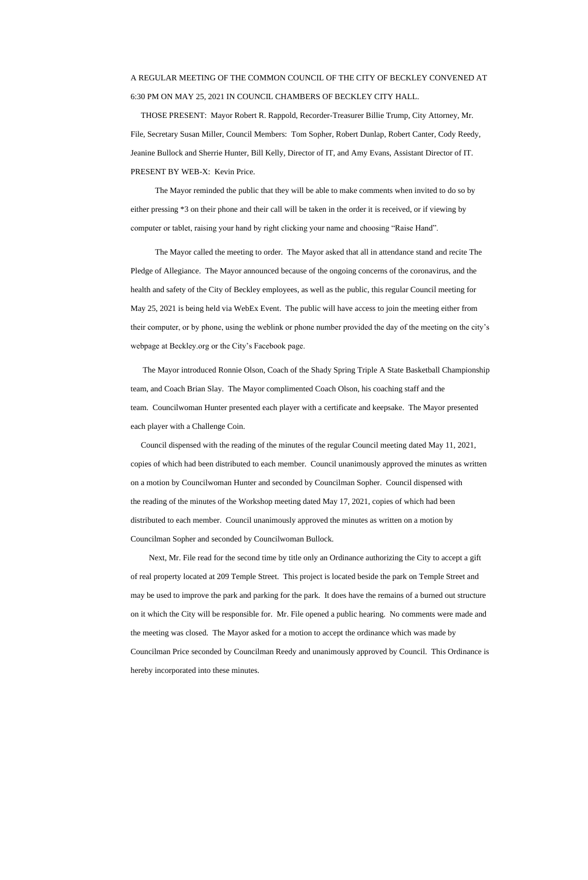## A REGULAR MEETING OF THE COMMON COUNCIL OF THE CITY OF BECKLEY CONVENED AT 6:30 PM ON MAY 25, 2021 IN COUNCIL CHAMBERS OF BECKLEY CITY HALL.

 THOSE PRESENT: Mayor Robert R. Rappold, Recorder-Treasurer Billie Trump, City Attorney, Mr. File, Secretary Susan Miller, Council Members: Tom Sopher, Robert Dunlap, Robert Canter, Cody Reedy, Jeanine Bullock and Sherrie Hunter, Bill Kelly, Director of IT, and Amy Evans, Assistant Director of IT. PRESENT BY WEB-X: Kevin Price.

The Mayor reminded the public that they will be able to make comments when invited to do so by either pressing \*3 on their phone and their call will be taken in the order it is received, or if viewing by computer or tablet, raising your hand by right clicking your name and choosing "Raise Hand".

The Mayor called the meeting to order. The Mayor asked that all in attendance stand and recite The Pledge of Allegiance. The Mayor announced because of the ongoing concerns of the coronavirus, and the health and safety of the City of Beckley employees, as well as the public, this regular Council meeting for May 25, 2021 is being held via WebEx Event. The public will have access to join the meeting either from their computer, or by phone, using the weblink or phone number provided the day of the meeting on the city's webpage at Beckley.org or the City's Facebook page.

 The Mayor introduced Ronnie Olson, Coach of the Shady Spring Triple A State Basketball Championship team, and Coach Brian Slay. The Mayor complimented Coach Olson, his coaching staff and the team. Councilwoman Hunter presented each player with a certificate and keepsake. The Mayor presented each player with a Challenge Coin.

 Council dispensed with the reading of the minutes of the regular Council meeting dated May 11, 2021, copies of which had been distributed to each member. Council unanimously approved the minutes as written on a motion by Councilwoman Hunter and seconded by Councilman Sopher. Council dispensed with the reading of the minutes of the Workshop meeting dated May 17, 2021, copies of which had been distributed to each member. Council unanimously approved the minutes as written on a motion by Councilman Sopher and seconded by Councilwoman Bullock.

 Next, Mr. File read for the second time by title only an Ordinance authorizing the City to accept a gift of real property located at 209 Temple Street. This project is located beside the park on Temple Street and may be used to improve the park and parking for the park. It does have the remains of a burned out structure

on it which the City will be responsible for. Mr. File opened a public hearing. No comments were made and

the meeting was closed. The Mayor asked for a motion to accept the ordinance which was made by

Councilman Price seconded by Councilman Reedy and unanimously approved by Council. This Ordinance is

hereby incorporated into these minutes.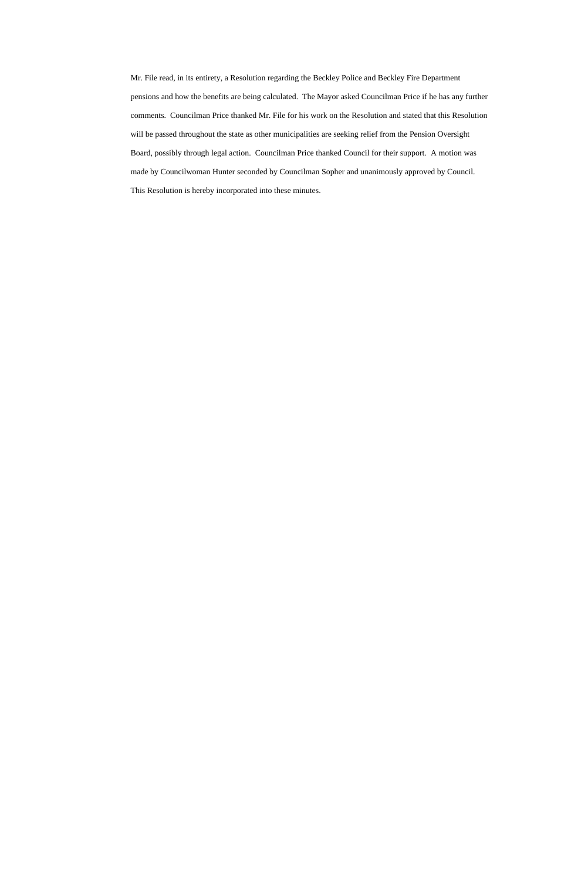Mr. File read, in its entirety, a Resolution regarding the Beckley Police and Beckley Fire Department pensions and how the benefits are being calculated. The Mayor asked Councilman Price if he has any further comments. Councilman Price thanked Mr. File for his work on the Resolution and stated that this Resolution will be passed throughout the state as other municipalities are seeking relief from the Pension Oversight Board, possibly through legal action. Councilman Price thanked Council for their support. A motion was made by Councilwoman Hunter seconded by Councilman Sopher and unanimously approved by Council. This Resolution is hereby incorporated into these minutes.